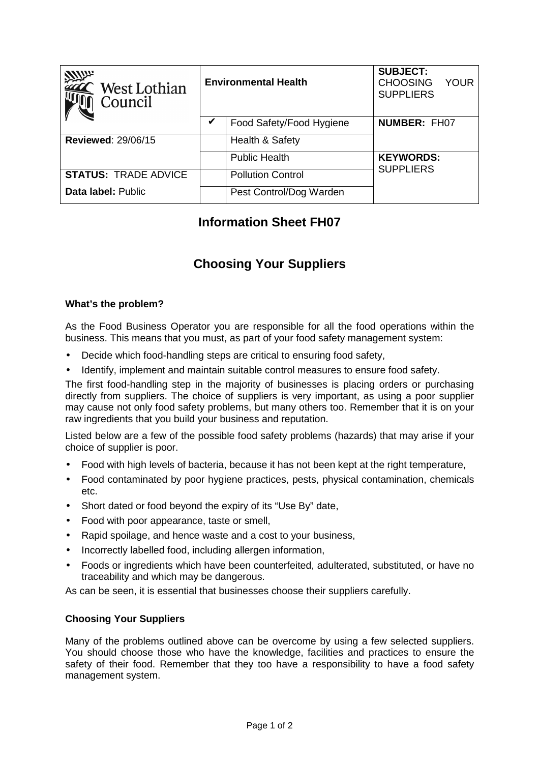| <b>ANUX</b><br>$\hat{ }$ West Lothian<br>Council | <b>Environmental Health</b> |                          | <b>SUBJECT:</b><br><b>CHOOSING</b><br><b>YOUR</b><br><b>SUPPLIERS</b> |
|--------------------------------------------------|-----------------------------|--------------------------|-----------------------------------------------------------------------|
|                                                  | v                           | Food Safety/Food Hygiene | <b>NUMBER: FH07</b>                                                   |
| <b>Reviewed: 29/06/15</b>                        |                             | Health & Safety          |                                                                       |
|                                                  |                             | <b>Public Health</b>     | <b>KEYWORDS:</b>                                                      |
| <b>STATUS: TRADE ADVICE</b>                      |                             | <b>Pollution Control</b> | <b>SUPPLIERS</b>                                                      |
| Data label: Public                               |                             | Pest Control/Dog Warden  |                                                                       |

## **Information Sheet FH07**

# **Choosing Your Suppliers**

### **What's the problem?**

As the Food Business Operator you are responsible for all the food operations within the business. This means that you must, as part of your food safety management system:

- Decide which food-handling steps are critical to ensuring food safety,
- Identify, implement and maintain suitable control measures to ensure food safety.

The first food-handling step in the majority of businesses is placing orders or purchasing directly from suppliers. The choice of suppliers is very important, as using a poor supplier may cause not only food safety problems, but many others too. Remember that it is on your raw ingredients that you build your business and reputation.

Listed below are a few of the possible food safety problems (hazards) that may arise if your choice of supplier is poor.

- Food with high levels of bacteria, because it has not been kept at the right temperature,
- Food contaminated by poor hygiene practices, pests, physical contamination, chemicals etc.
- Short dated or food beyond the expiry of its "Use By" date,
- Food with poor appearance, taste or smell,
- Rapid spoilage, and hence waste and a cost to your business,
- Incorrectly labelled food, including allergen information,
- Foods or ingredients which have been counterfeited, adulterated, substituted, or have no traceability and which may be dangerous.

As can be seen, it is essential that businesses choose their suppliers carefully.

#### **Choosing Your Suppliers**

Many of the problems outlined above can be overcome by using a few selected suppliers. You should choose those who have the knowledge, facilities and practices to ensure the safety of their food. Remember that they too have a responsibility to have a food safety management system.